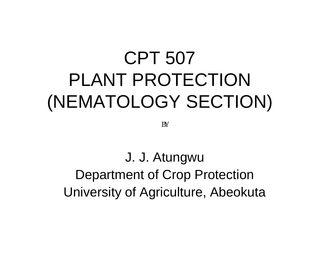# CPT 507 PLANT PROTECTION (NEMATOLOGY SECTION)

**BY** 

J. J. Atungwu Department of Crop Protection University of Agriculture, Abeokuta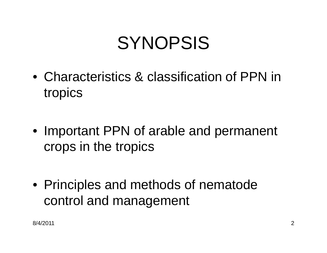# SYNOPSIS

- Characteristics & classification of PPN in tropics
- Important PPN of arable and permanent crops in the tropics
- Principles and methods of nematode control and management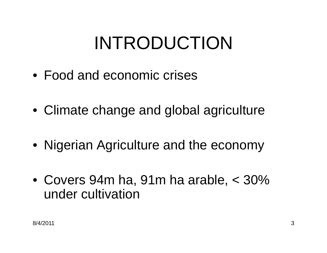# INTRODUCTION

- Food and economic crises
- Climate change and global agriculture
- Nigerian Agriculture and the economy
- Covers 94m ha, 91m ha arable, < 30% under cultivation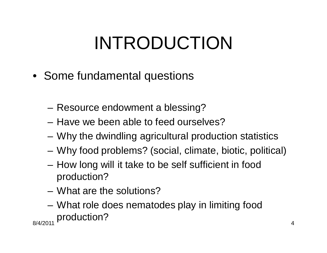# INTRODUCTION

- Some fundamental questions
	- Resource endowment a blessing?
	- Have we been able to feed ourselves?
	- Why the dwindling agricultural production statistics
	- Why food problems? (social, climate, biotic, political)
	- How long will it take to be self sufficient in food production?
	- What are the solutions?
- 8/4/2011 4 – What role does nematodes play in limiting food production?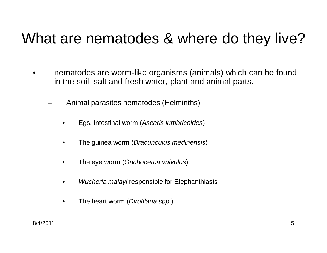#### What are nematodes & where do they live?

- nematodes are worm-like organisms (animals) which can be found in the soil, salt and fresh water, plant and animal parts.
	- Animal parasites nematodes (Helminths)
		- Egs. Intestinal worm (*Ascaris lumbricoides*)
		- The guinea worm (*Dracunculus medinensis*)
		- The eye worm (*Onchocerca vulvulus*)
		- *Wucheria malayi* responsible for Elephanthiasis
		- The heart worm (*Dirofilaria spp*.)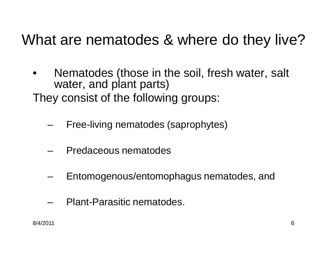#### What are nematodes & where do they live?

- Nematodes (those in the soil, fresh water, salt water, and plant parts)
- They consist of the following groups:
	- Free-living nematodes (saprophytes)
	- Predaceous nematodes
	- Entomogenous/entomophagus nematodes, and
	- Plant-Parasitic nematodes.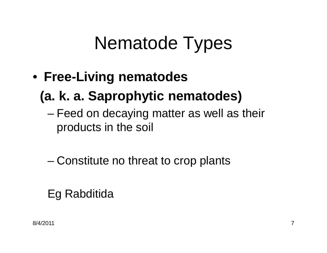# Nematode Types

• **Free-Living nematodes**

#### **(a. k. a. Saprophytic nematodes)**

– Feed on decaying matter as well as their products in the soil

– Constitute no threat to crop plants

#### Eg Rabditida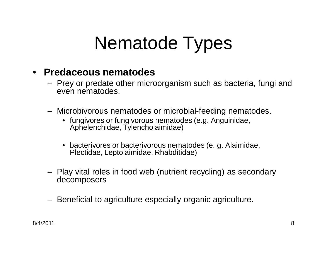# Nematode Types

#### • **Predaceous nematodes**

- Prey or predate other microorganism such as bacteria, fungi and even nematodes.
- Microbivorous nematodes or microbial-feeding nematodes.
	- fungivores or fungivorous nematodes (e.g. Anguinidae, Aphelenchidae, Tylencholaimidae)
	- bacterivores or bacterivorous nematodes (e. g. Alaimidae, Plectidae, Leptolaimidae, Rhabditidae)
- Play vital roles in food web (nutrient recycling) as secondary decomposers
- Beneficial to agriculture especially organic agriculture.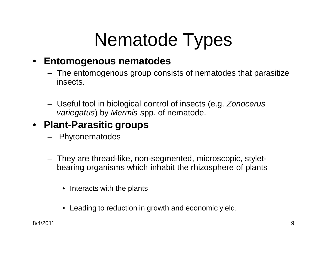# Nematode Types

#### • **Entomogenous nematodes**

- The entomogenous group consists of nematodes that parasitize insects.
- Useful tool in biological control of insects (e.g. *Zonocerus variegatus*) by *Mermis* spp. of nematode.

#### • **Plant-Parasitic groups**

- Phytonematodes
- They are thread-like, non-segmented, microscopic, styletbearing organisms which inhabit the rhizosphere of plants
	- Interacts with the plants
	- Leading to reduction in growth and economic yield.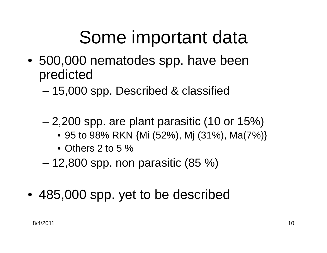# Some important data

- 500,000 nematodes spp. have been predicted
	- 15,000 spp. Described & classified
	- 2,200 spp. are plant parasitic (10 or 15%)
		- 95 to 98% RKN {Mi (52%), Mj (31%), Ma(7%)}
		- Others 2 to 5 %
	- $-12,800$  spp. non parasitic  $(85 \%)$
- 485,000 spp. yet to be described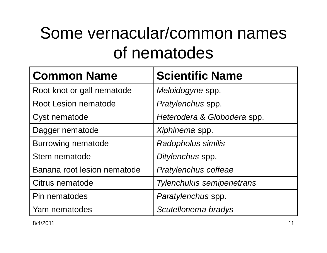## Some vernacular/common names of nematodes

| <b>Common Name</b>          | <b>Scientific Name</b>           |
|-----------------------------|----------------------------------|
| Root knot or gall nematode  | Meloidogyne spp.                 |
| <b>Root Lesion nematode</b> | Pratylenchus spp.                |
| Cyst nematode               | Heterodera & Globodera spp.      |
| Dagger nematode             | Xiphinema spp.                   |
| <b>Burrowing nematode</b>   | Radopholus similis               |
| Stem nematode               | Ditylenchus spp.                 |
| Banana root lesion nematode | Pratylenchus coffeae             |
| Citrus nematode             | <b>Tylenchulus semipenetrans</b> |
| Pin nematodes               | Paratylenchus spp.               |
| Yam nematodes               | Scutellonema bradys              |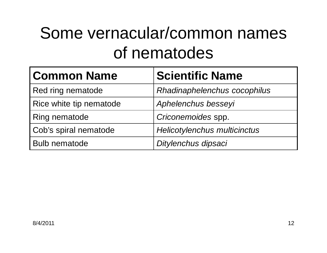## Some vernacular/common names of nematodes

| <b>Common Name</b>      | <b>Scientific Name</b>              |
|-------------------------|-------------------------------------|
| Red ring nematode       | Rhadinaphelenchus cocophilus        |
| Rice white tip nematode | Aphelenchus besseyi                 |
| Ring nematode           | Criconemoides spp.                  |
| Cob's spiral nematode   | <b>Helicotylenchus multicinctus</b> |
| <b>Bulb nematode</b>    | Ditylenchus dipsaci                 |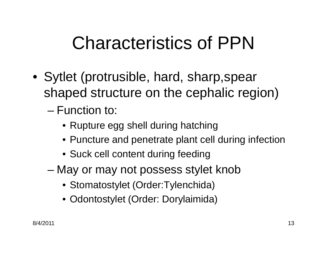- Sytlet (protrusible, hard, sharp,spear shaped structure on the cephalic region)
	- Function to:
		- Rupture egg shell during hatching
		- Puncture and penetrate plant cell during infection
		- Suck cell content during feeding
	- May or may not possess stylet knob
		- Stomatostylet (Order:Tylenchida)
		- Odontostylet (Order: Dorylaimida)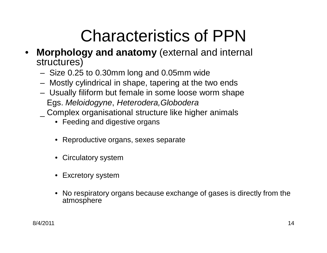- **Morphology and anatomy** (external and internal structures)
	- Size 0.25 to 0.30mm long and 0.05mm wide
	- Mostly cylindrical in shape, tapering at the two ends
	- Usually filiform but female in some loose worm shape Egs. *Meloidogyne*, *Heterodera,Globodera* \_ Complex organisational structure like higher animals
		- Feeding and digestive organs
		- Reproductive organs, sexes separate
		- Circulatory system
		- Excretory system
		- No respiratory organs because exchange of gases is directly from the atmosphere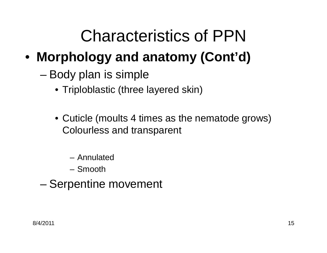- **Morphology and anatomy (Cont'd)**
	- Body plan is simple
		- Triploblastic (three layered skin)
		- Cuticle (moults 4 times as the nematode grows) Colourless and transparent
			- Annulated
			- Smooth
	- Serpentine movement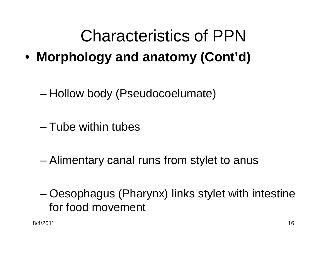- **Morphology and anatomy (Cont'd)**
	- Hollow body (Pseudocoelumate)
	- Tube within tubes
	- Alimentary canal runs from stylet to anus
	- Oesophagus (Pharynx) links stylet with intestine for food movement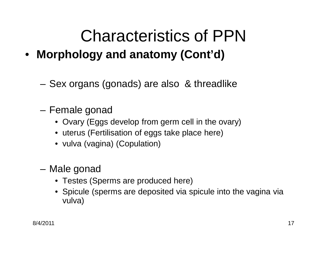- **Morphology and anatomy (Cont'd)**
	- Sex organs (gonads) are also & threadlike
	- Female gonad
		- Ovary (Eggs develop from germ cell in the ovary)
		- uterus (Fertilisation of eggs take place here)
		- vulva (vagina) (Copulation)
	- Male gonad
		- Testes (Sperms are produced here)
		- Spicule (sperms are deposited via spicule into the vagina via vulva)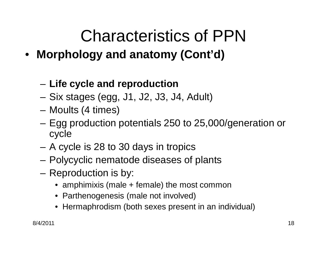- **Morphology and anatomy (Cont'd)**
	- **Life cycle and reproduction**
	- Six stages (egg, J1, J2, J3, J4, Adult)
	- Moults (4 times)
	- Egg production potentials 250 to 25,000/generation or cycle
	- A cycle is 28 to 30 days in tropics
	- Polycyclic nematode diseases of plants
	- Reproduction is by:
		- amphimixis (male + female) the most common
		- Parthenogenesis (male not involved)
		- Hermaphrodism (both sexes present in an individual)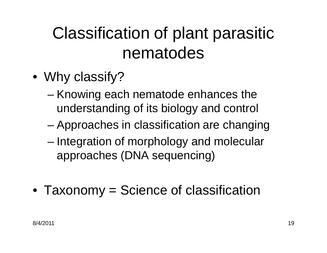## Classification of plant parasitic nematodes

- Why classify?
	- Knowing each nematode enhances the understanding of its biology and control
	- Approaches in classification are changing
	- Integration of morphology and molecular approaches (DNA sequencing)
- Taxonomy = Science of classification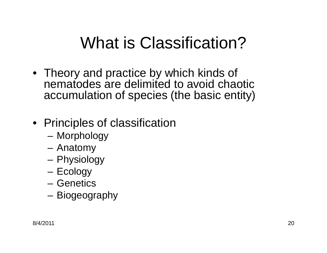### What is Classification?

• Theory and practice by which kinds of nematodes are delimited to avoid chaotic accumulation of species (the basic entity)

#### • Principles of classification

- Morphology
- Anatomy
- Physiology
- Ecology
- Genetics
- Biogeography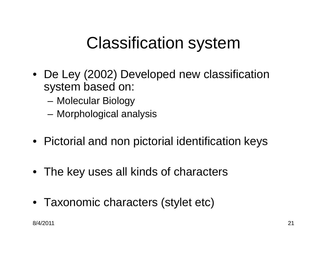### Classification system

- De Ley (2002) Developed new classification system based on:
	- Molecular Biology
	- Morphological analysis
- Pictorial and non pictorial identification keys
- The key uses all kinds of characters
- Taxonomic characters (stylet etc)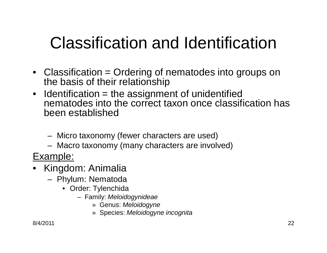## Classification and Identification

- Classification = Ordering of nematodes into groups on the basis of their relationship
- $\bullet$  Identification = the assignment of unidentified nematodes into the correct taxon once classification has been established
	- Micro taxonomy (fewer characters are used)
	- Macro taxonomy (many characters are involved)
- Example:
- Kingdom: Animalia
	- Phylum: Nematoda
		- Order: Tylenchida
			- Family: *Meloidogynideae*
				- » Genus: *Meloidogyne*
				- » Species: *Meloidogyne incognita*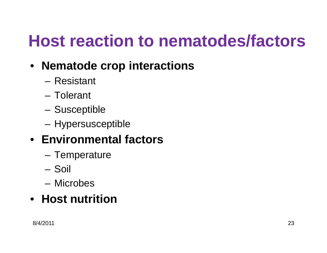## **Host reaction to nematodes/factors**

- **Nematode crop interactions**
	- Resistant
	- Tolerant
	- Susceptible
	- Hypersusceptible

#### • **Environmental factors**

- Temperature
- Soil
- Microbes

#### • **Host nutrition**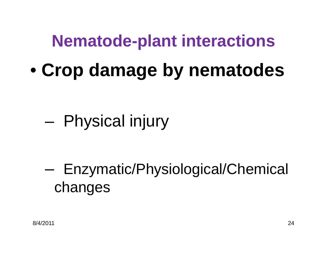### **Nematode-plant interactions**

• **Crop damage by nematodes**

## – Physical injury

– Enzymatic/Physiological/Chemical changes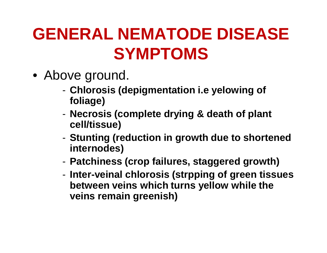## **GENERAL NEMATODE DISEASE SYMPTOMS**

- Above ground.
	- **Chlorosis (depigmentation i.e yelowing of foliage)**
	- **Necrosis (complete drying & death of plant cell/tissue)**
	- **Stunting (reduction in growth due to shortened internodes)**
	- **Patchiness (crop failures, staggered growth)**
	- **Inter-veinal chlorosis (strpping of green tissues between veins which turns yellow while the veins remain greenish)**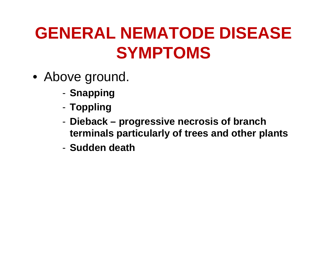## **GENERAL NEMATODE DISEASE SYMPTOMS**

- Above ground.
	- **Snapping**
	- **Toppling**
	- **Dieback – progressive necrosis of branch terminals particularly of trees and other plants**
	- **Sudden death**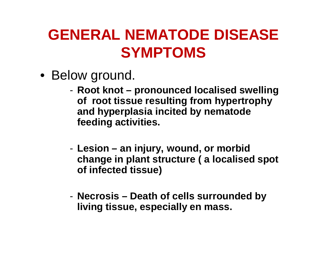#### **GENERAL NEMATODE DISEASE SYMPTOMS**

- Below ground.
	- **Root knot – pronounced localised swelling of root tissue resulting from hypertrophy and hyperplasia incited by nematode feeding activities.**
	- **Lesion – an injury, wound, or morbid change in plant structure ( a localised spot of infected tissue)**
	- **Necrosis – Death of cells surrounded by living tissue, especially en mass.**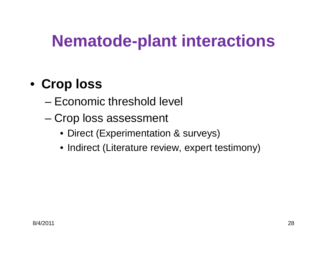## **Nematode-plant interactions**

#### • **Crop loss**

- Economic threshold level
- Crop loss assessment
	- Direct (Experimentation & surveys)
	- Indirect (Literature review, expert testimony)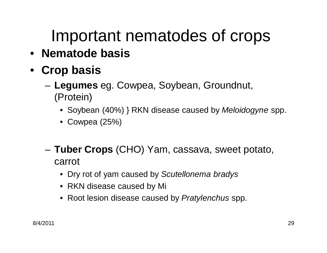## Important nematodes of crops

- **Nematode basis**
- **Crop basis**
	- **Legumes** eg. Cowpea, Soybean, Groundnut, (Protein)
		- Soybean (40%) } RKN disease caused by *Meloidogyne* spp.
		- Cowpea (25%)
	- **Tuber Crops** (CHO) Yam, cassava, sweet potato, carrot
		- Dry rot of yam caused by *Scutellonema bradys*
		- RKN disease caused by Mi
		- Root lesion disease caused by *Pratylenchus* spp.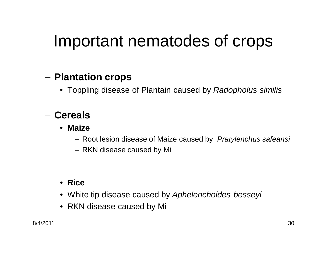### Important nematodes of crops

#### – **Plantation crops**

• Toppling disease of Plantain caused by *Radopholus similis*

#### – **Cereals**

- **Maize**
	- Root lesion disease of Maize caused by *Pratylenchus safeansi*
	- RKN disease caused by Mi

#### • **Rice**

- White tip disease caused by *Aphelenchoides besseyi*
- RKN disease caused by Mi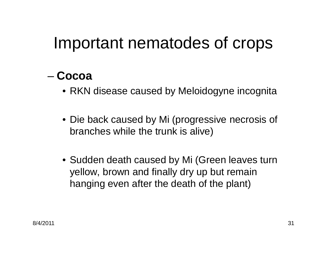### Important nematodes of crops

#### – **Cocoa**

- RKN disease caused by Meloidogyne incognita
- Die back caused by Mi (progressive necrosis of branches while the trunk is alive)
- Sudden death caused by Mi (Green leaves turn yellow, brown and finally dry up but remain hanging even after the death of the plant)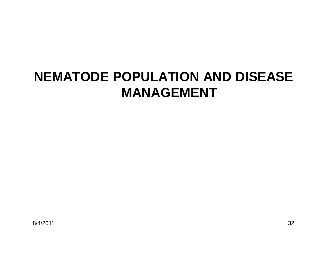#### **NEMATODE POPULATION AND DISEASE MANAGEMENT**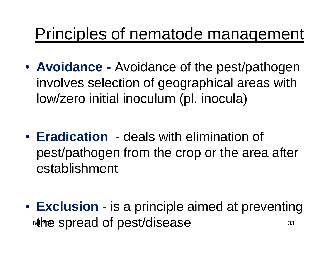### Principles of nematode management

- **Avoidance -** Avoidance of the pest/pathogen involves selection of geographical areas with low/zero initial inoculum (pl. inocula)
- **Eradication -** deals with elimination of pest/pathogen from the crop or the area after establishment
- 8/420<del>0</del> SDIE 20 OI DESI/OISE 258 • **Exclusion -** is a principle aimed at preventing the spread of pest/disease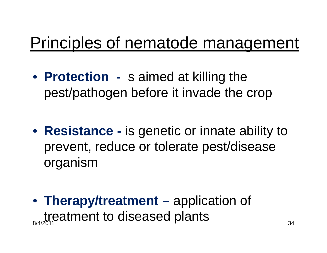### Principles of nematode management

- **Protection -** s aimed at killing the pest/pathogen before it invade the crop
- **Resistance -** is genetic or innate ability to prevent, reduce or tolerate pest/disease organism
- treatment to diseased plants • **Therapy/treatment –** application of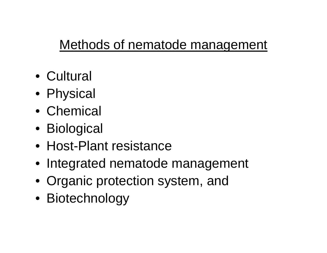#### Methods of nematode management

- Cultural
- Physical
- Chemical
- Biological
- Host-Plant resistance
- Integrated nematode management
- Organic protection system, and
- Biotechnology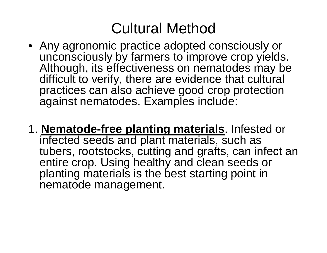#### Cultural Method

- Any agronomic practice adopted consciously or unconsciously by farmers to improve crop yields. Although, its effectiveness on nematodes may be difficult to verify, there are evidence that cultural practices can also achieve good crop protection against nematodes. Examples include:
- 1. **Nematode-free planting materials**. Infested or infected seeds and plant materials, such as tubers, rootstocks, cutting and grafts, can infect an entire crop. Using healthy and clean seeds or planting materials is the best starting point in nematode management.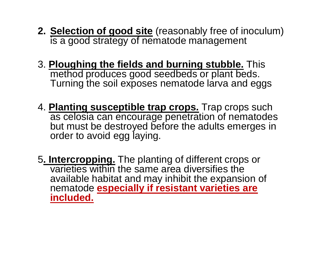- **2. Selection of good site** (reasonably free of inoculum) is a good strategy of nematode management
- 3. **Ploughing the fields and burning stubble.** This method produces good seedbeds or plant beds. Turning the soil exposes nematode larva and eggs
- 4. **Planting susceptible trap crops.** Trap crops such as celosia can encourage penetration of nematodes but must be destroyed before the adults emerges in order to avoid egg laying.
- 5**. Intercropping.** The planting of different crops or varieties within the same area diversifies the available habitat and may inhibit the expansion of nematode **especially if resistant varieties are included.**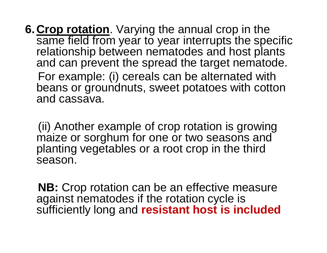**6.Crop rotation**. Varying the annual crop in the same field from year to year interrupts the specific relationship between nematodes and host plants and can prevent the spread the target nematode. For example: (i) cereals can be alternated with beans or groundnuts, sweet potatoes with cotton and cassava.

(ii) Another example of crop rotation is growing maize or sorghum for one or two seasons and planting vegetables or a root crop in the third season.

**NB:** Crop rotation can be an effective measure against nematodes if the rotation cycle is sufficiently long and **resistant host is included**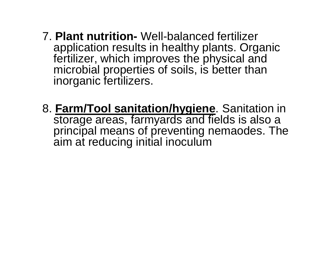- 7. **Plant nutrition-** Well-balanced fertilizer application results in healthy plants. Organic fertilizer, which improves the physical and microbial properties of soils, is better than inorganic fertilizers.
- 8. **Farm/Tool sanitation/hygiene**. Sanitation in storage areas, farmyards and fields is also a principal means of preventing nemaodes. The aim at reducing initial inoculum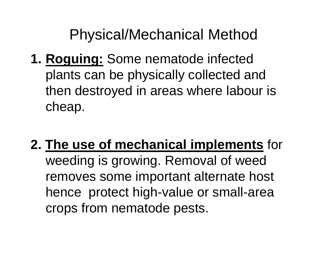#### Physical/Mechanical Method

- **1. Roguing:** Some nematode infected plants can be physically collected and then destroyed in areas where labour is cheap.
- **2. The use of mechanical implements** for weeding is growing. Removal of weed removes some important alternate host hence protect high-value or small-area crops from nematode pests.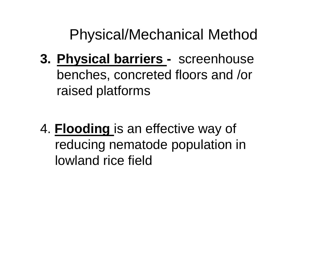Physical/Mechanical Method

- **3. Physical barriers -** screenhouse benches, concreted floors and /or raised platforms
- 4. **Flooding** is an effective way of reducing nematode population in lowland rice field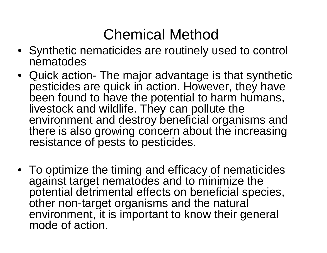### Chemical Method

- Synthetic nematicides are routinely used to control nematodes
- Quick action- The major advantage is that synthetic pesticides are quick in action. However, they have been found to have the potential to harm humans, livestock and wildlife. They can pollute the environment and destroy beneficial organisms and there is also growing concern about the increasing resistance of pests to pesticides.
- To optimize the timing and efficacy of nematicides against target nematodes and to minimize the potential detrimental effects on beneficial species, other non-target organisms and the natural environment, it is important to know their general mode of action.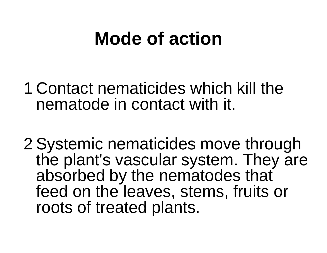# **Mode of action**

- 1 Contact nematicides which kill the nematode in contact with it.
- 2 Systemic nematicides move through the plant's vascular system. They are absorbed by the nematodes that feed on the leaves, stems, fruits or roots of treated plants.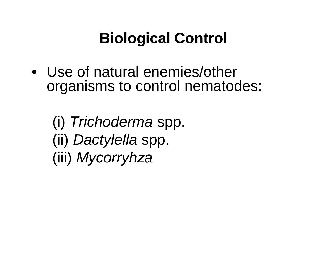### **Biological Control**

• Use of natural enemies/other organisms to control nematodes:

(i) *Trichoderma* spp. (ii) *Dactylella* spp. (iii) *Mycorryhza*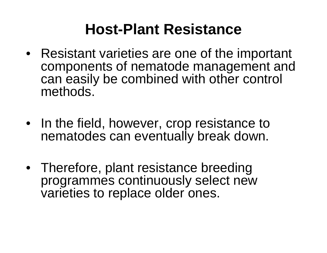#### **Host-Plant Resistance**

- Resistant varieties are one of the important components of nematode management and can easily be combined with other control methods.
- In the field, however, crop resistance to nematodes can eventually break down.
- Therefore, plant resistance breeding programmes continuously select new varieties to replace older ones.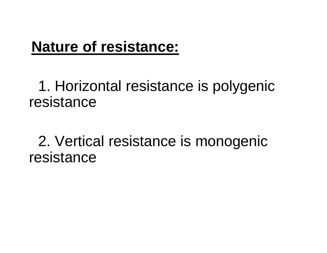#### **Nature of resistance:**

1. Horizontal resistance is polygenic resistance

2. Vertical resistance is monogenic resistance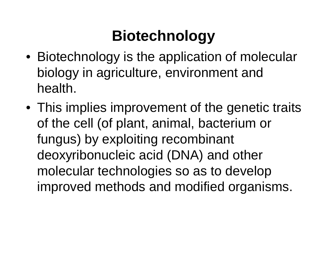### **Biotechnology**

- Biotechnology is the application of molecular biology in agriculture, environment and health.
- This implies improvement of the genetic traits of the cell (of plant, animal, bacterium or fungus) by exploiting recombinant deoxyribonucleic acid (DNA) and other molecular technologies so as to develop improved methods and modified organisms.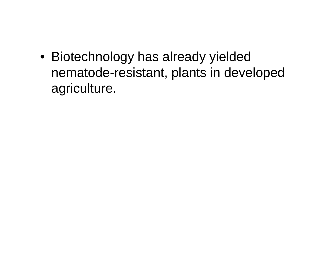• Biotechnology has already yielded nematode-resistant, plants in developed agriculture.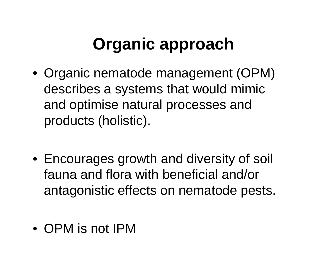## **Organic approach**

- Organic nematode management (OPM) describes a systems that would mimic and optimise natural processes and products (holistic).
- Encourages growth and diversity of soil fauna and flora with beneficial and/or antagonistic effects on nematode pests.
- OPM is not IPM